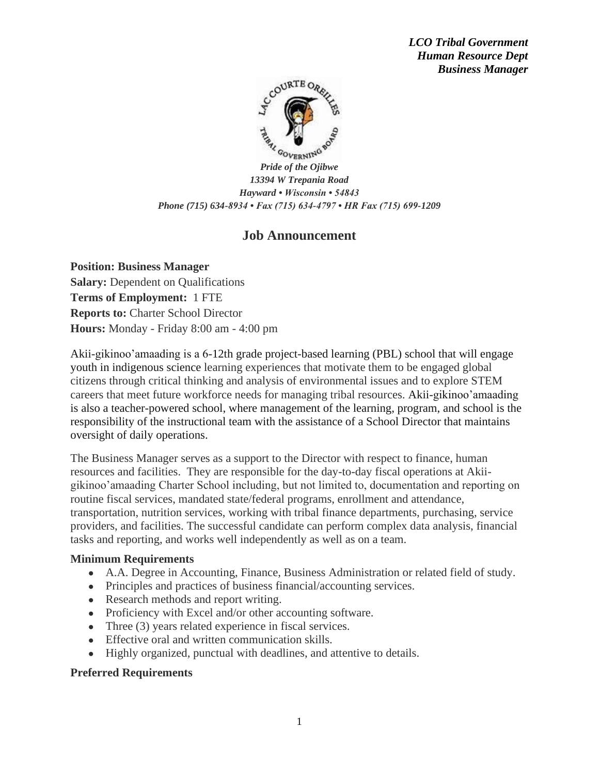*LCO Tribal Government Human Resource Dept Business Manager*



*Pride of the Ojibwe 13394 W Trepania Road Hayward • Wisconsin • 54843 Phone (715) 634-8934 • Fax (715) 634-4797 • HR Fax (715) 699-1209*

# **Job Announcement**

**Position: Business Manager Salary:** Dependent on Qualifications **Terms of Employment:** 1 FTE **Reports to:** Charter School Director **Hours:** Monday - Friday 8:00 am - 4:00 pm

Akii-gikinoo'amaading is a 6-12th grade project-based learning (PBL) school that will engage youth in indigenous science learning experiences that motivate them to be engaged global citizens through critical thinking and analysis of environmental issues and to explore STEM careers that meet future workforce needs for managing tribal resources. Akii-gikinoo'amaading is also a teacher-powered school, where management of the learning, program, and school is the responsibility of the instructional team with the assistance of a School Director that maintains oversight of daily operations.

The Business Manager serves as a support to the Director with respect to finance, human resources and facilities. They are responsible for the day-to-day fiscal operations at Akiigikinoo'amaading Charter School including, but not limited to, documentation and reporting on routine fiscal services, mandated state/federal programs, enrollment and attendance, transportation, nutrition services, working with tribal finance departments, purchasing, service providers, and facilities. The successful candidate can perform complex data analysis, financial tasks and reporting, and works well independently as well as on a team.

## **Minimum Requirements**

- A.A. Degree in Accounting, Finance, Business Administration or related field of study.
- Principles and practices of business financial/accounting services.
- Research methods and report writing.
- Proficiency with Excel and/or other accounting software.
- Three (3) years related experience in fiscal services.
- Effective oral and written communication skills.
- Highly organized, punctual with deadlines, and attentive to details.

## **Preferred Requirements**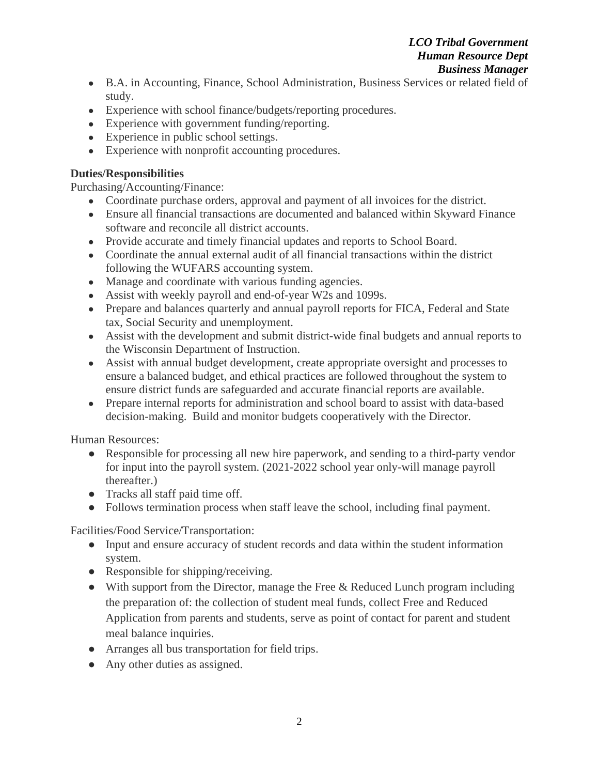#### *LCO Tribal Government Human Resource Dept Business Manager*

- B.A. in Accounting, Finance, School Administration, Business Services or related field of study.
- Experience with school finance/budgets/reporting procedures.
- Experience with government funding/reporting.
- Experience in public school settings.
- Experience with nonprofit accounting procedures.

## **Duties/Responsibilities**

Purchasing/Accounting/Finance:

- Coordinate purchase orders, approval and payment of all invoices for the district.
- Ensure all financial transactions are documented and balanced within Skyward Finance software and reconcile all district accounts.
- Provide accurate and timely financial updates and reports to School Board.
- Coordinate the annual external audit of all financial transactions within the district following the WUFARS accounting system.
- Manage and coordinate with various funding agencies.
- Assist with weekly payroll and end-of-year W2s and 1099s.
- Prepare and balances quarterly and annual payroll reports for FICA, Federal and State tax, Social Security and unemployment.
- Assist with the development and submit district-wide final budgets and annual reports to the Wisconsin Department of Instruction.
- Assist with annual budget development, create appropriate oversight and processes to ensure a balanced budget, and ethical practices are followed throughout the system to ensure district funds are safeguarded and accurate financial reports are available.
- Prepare internal reports for administration and school board to assist with data-based decision-making. Build and monitor budgets cooperatively with the Director.

Human Resources:

- Responsible for processing all new hire paperwork, and sending to a third-party vendor for input into the payroll system. (2021-2022 school year only-will manage payroll thereafter.)
- Tracks all staff paid time off.
- Follows termination process when staff leave the school, including final payment.

Facilities/Food Service/Transportation:

- Input and ensure accuracy of student records and data within the student information system.
- Responsible for shipping/receiving.
- With support from the Director, manage the Free & Reduced Lunch program including the preparation of: the collection of student meal funds, collect Free and Reduced Application from parents and students, serve as point of contact for parent and student meal balance inquiries.
- Arranges all bus transportation for field trips.
- Any other duties as assigned.